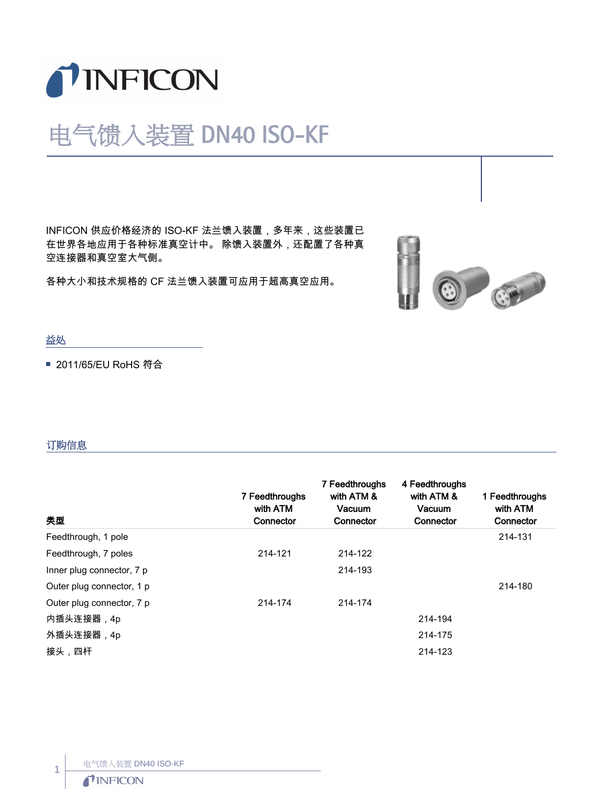

## 电气馈入装置 DN40 ISO-KF

INFICON 供应价格经济的 ISO-KF 法兰馈入装置,多年来,这些装置已 在世界各地应用于各种标准真空计中。 除馈入装置外,还配置了各种真 空连接器和真空室大气侧。

各种大小和技术规格的 CF 法兰馈入装置可应用于超高真空应用。



## 益处

■ 2011/65/EU RoHS 符合

## 订购信息

| 类型                        | 7 Feedthroughs<br>with ATM<br>Connector | 7 Feedthroughs<br>with ATM &<br>Vacuum<br>Connector | 4 Feedthroughs<br>with ATM &<br>Vacuum<br>Connector | 1 Feedthroughs<br>with ATM<br>Connector |
|---------------------------|-----------------------------------------|-----------------------------------------------------|-----------------------------------------------------|-----------------------------------------|
| Feedthrough, 1 pole       |                                         |                                                     |                                                     | 214-131                                 |
| Feedthrough, 7 poles      | 214-121                                 | 214-122                                             |                                                     |                                         |
| Inner plug connector, 7 p |                                         | 214-193                                             |                                                     |                                         |
| Outer plug connector, 1 p |                                         |                                                     |                                                     | 214-180                                 |
| Outer plug connector, 7 p | 214-174                                 | 214-174                                             |                                                     |                                         |
| 内插头连接器,4p                 |                                         |                                                     | 214-194                                             |                                         |
| 外插头连接器,4p                 |                                         |                                                     | 214-175                                             |                                         |
| 接头,四杆                     |                                         |                                                     | 214-123                                             |                                         |

电气馈入装置 DN40 ISO-KF

## *TINFICON*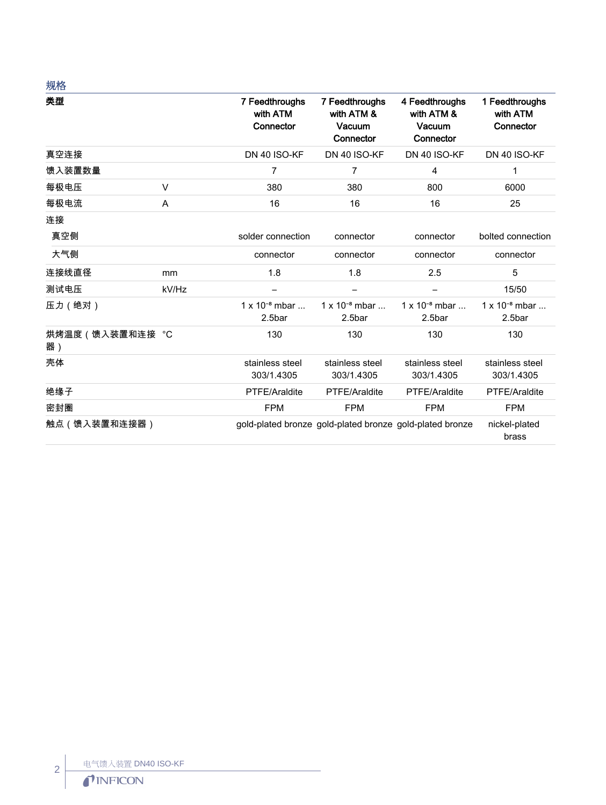| 规格                      |        |                                         |                                                          |                                                     |                                         |
|-------------------------|--------|-----------------------------------------|----------------------------------------------------------|-----------------------------------------------------|-----------------------------------------|
| 类型                      |        | 7 Feedthroughs<br>with ATM<br>Connector | 7 Feedthroughs<br>with ATM &<br>Vacuum<br>Connector      | 4 Feedthroughs<br>with ATM &<br>Vacuum<br>Connector | 1 Feedthroughs<br>with ATM<br>Connector |
| 真空连接                    |        | DN 40 ISO-KF                            | DN 40 ISO-KF                                             | DN 40 ISO-KF                                        | DN 40 ISO-KF                            |
| 馈入装置数量                  |        | 7                                       | 7                                                        | 4                                                   | 1                                       |
| 每极电压                    | $\vee$ | 380                                     | 380                                                      | 800                                                 | 6000                                    |
| 每极电流                    | A      | 16                                      | 16                                                       | 16                                                  | 25                                      |
| 连接                      |        |                                         |                                                          |                                                     |                                         |
| 真空侧                     |        | solder connection                       | connector                                                | connector                                           | bolted connection                       |
| 大气侧                     |        | connector                               | connector                                                | connector                                           | connector                               |
| 连接线直径                   | mm     | 1.8                                     | 1.8                                                      | 2.5                                                 | 5                                       |
| 测试电压                    | kV/Hz  |                                         | -                                                        | $\overline{\phantom{0}}$                            | 15/50                                   |
| 压力 (绝对)                 |        | $1 \times 10^{-8}$ mbar<br>2.5bar       | $1 \times 10^{-8}$ mbar<br>2.5bar                        | $1 \times 10^{-8}$ mbar<br>2.5bar                   | $1 \times 10^{-8}$ mbar<br>2.5bar       |
| 烘烤温度 ( 馈入装置和连接 °C<br>器) |        | 130                                     | 130                                                      | 130                                                 | 130                                     |
| 壳体                      |        | stainless steel<br>303/1.4305           | stainless steel<br>303/1.4305                            | stainless steel<br>303/1.4305                       | stainless steel<br>303/1.4305           |
| 绝缘子                     |        | PTFE/Araldite                           | PTFE/Araldite                                            | PTFE/Araldite                                       | PTFE/Araldite                           |
| 密封圈                     |        | <b>FPM</b>                              | <b>FPM</b>                                               | <b>FPM</b>                                          | <b>FPM</b>                              |
| 触点 (馈入装置和连接器)           |        |                                         | gold-plated bronze gold-plated bronze gold-plated bronze |                                                     | nickel-plated<br>brass                  |

2 | 电气馈入装置 DN40 ISO-KF